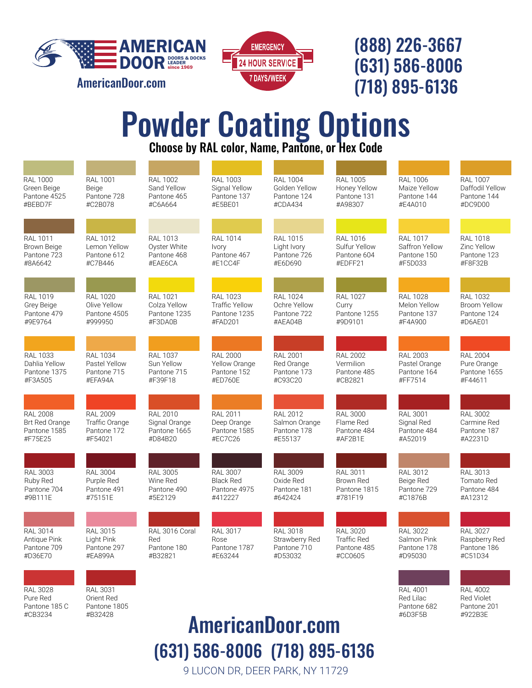

[AmericanDoor.com](http://americandoor.com/)



## (888) 226-3667 (631) 586-8006 (718) 895-6136

Pantone 682 #6D3F5B

Pantone 201 #922B3E

# Powder Coating Options<br>Choose by RAL color, Name, Pantone, or Hex Code

| <b>RAL 1000</b><br>Green Beige<br>Pantone 4525<br>#BEBD7F       | <b>RAL 1001</b><br>Beige<br>Pantone 728<br>#C2B078          | <b>RAL 1002</b><br>Sand Yellow<br>Pantone 465<br>#C6A664    | <b>RAL 1003</b><br>Signal Yellow<br>Pantone 137<br>#E5BE01          | <b>RAL 1004</b><br>Golden Yellow<br>Pantone 124<br>#CDA434  | <b>RAL 1005</b><br>Honey Yellow<br>Pantone 131<br>#A98307       | <b>RAL 1006</b><br>Maize Yellow<br>Pantone 144<br>#E4A010   | <b>RAL 1007</b><br>Daffodil Yellow<br>Pantone 144<br>#DC9D00     |
|-----------------------------------------------------------------|-------------------------------------------------------------|-------------------------------------------------------------|---------------------------------------------------------------------|-------------------------------------------------------------|-----------------------------------------------------------------|-------------------------------------------------------------|------------------------------------------------------------------|
|                                                                 |                                                             |                                                             |                                                                     |                                                             |                                                                 |                                                             |                                                                  |
| <b>RAL 1011</b><br><b>Brown Beige</b><br>Pantone 723<br>#8A6642 | <b>RAL 1012</b><br>Lemon Yellow<br>Pantone 612<br>#C7B446   | <b>RAL 1013</b><br>Oyster White<br>Pantone 468<br>#EAE6CA   | <b>RAL 1014</b><br>Ivory<br>Pantone 467<br>#E1CC4F                  | <b>RAL 1015</b><br>Light Ivory<br>Pantone 726<br>#E6D690    | <b>RAL 1016</b><br>Sulfur Yellow<br>Pantone 604<br>#EDFF21      | <b>RAL 1017</b><br>Saffron Yellow<br>Pantone 150<br>#F5D033 | <b>RAL 1018</b><br>Zinc Yellow<br>Pantone 123<br>#F8F32B         |
|                                                                 |                                                             |                                                             |                                                                     |                                                             |                                                                 |                                                             |                                                                  |
| RAL 1019<br>Grey Beige<br>Pantone 479<br>#9E9764                | <b>RAL 1020</b><br>Olive Yellow<br>Pantone 4505<br>#999950  | <b>RAL 1021</b><br>Colza Yellow<br>Pantone 1235<br>#F3DA0B  | <b>RAL 1023</b><br><b>Traffic Yellow</b><br>Pantone 1235<br>#FAD201 | <b>RAL 1024</b><br>Ochre Yellow<br>Pantone 722<br>#AEA04B   | <b>RAL 1027</b><br>Curry<br>Pantone 1255<br>#9D9101             | <b>RAL 1028</b><br>Melon Yellow<br>Pantone 137<br>#F4A900   | <b>RAL 1032</b><br><b>Broom Yellow</b><br>Pantone 124<br>#D6AE01 |
|                                                                 |                                                             |                                                             |                                                                     |                                                             |                                                                 |                                                             |                                                                  |
| <b>RAL 1033</b><br>Dahlia Yellow<br>Pantone 1375<br>#F3A505     | <b>RAL 1034</b><br>Pastel Yellow<br>Pantone 715<br>#EFA94A  | <b>RAL 1037</b><br>Sun Yellow<br>Pantone 715<br>#F39F18     | <b>RAL 2000</b><br>Yellow Orange<br>Pantone 152<br>#ED760E          | <b>RAL 2001</b><br>Red Orange<br>Pantone 173<br>#C93C20     | <b>RAL 2002</b><br>Vermilion<br>Pantone 485<br>#CB2821          | <b>RAL 2003</b><br>Pastel Orange<br>Pantone 164<br>#FF7514  | <b>RAL 2004</b><br>Pure Orange<br>Pantone 1655<br>#F44611        |
|                                                                 |                                                             |                                                             |                                                                     |                                                             |                                                                 |                                                             |                                                                  |
| <b>RAL 2008</b><br>Brt Red Orange<br>Pantone 1585<br>#F75E25    | <b>RAL 2009</b><br>Traffic Orange<br>Pantone 172<br>#F54021 | <b>RAL 2010</b><br>Signal Orange<br>Pantone 1665<br>#D84B20 | <b>RAL 2011</b><br>Deep Orange<br>Pantone 1585<br>#EC7C26           | <b>RAL 2012</b><br>Salmon Orange<br>Pantone 178<br>#E55137  | <b>RAL 3000</b><br>Flame Red<br>Pantone 484<br>#AF2B1E          | <b>RAL 3001</b><br>Signal Red<br>Pantone 484<br>#A52019     | <b>RAL 3002</b><br>Carmine Red<br>Pantone 187<br>#A2231D         |
|                                                                 |                                                             |                                                             |                                                                     |                                                             |                                                                 |                                                             |                                                                  |
| RAL 3003<br>Ruby Red<br>Pantone 704<br>#9B111E                  | <b>RAL 3004</b><br>Purple Red<br>Pantone 491<br>#75151E     | <b>RAL 3005</b><br>Wine Red<br>Pantone 490<br>#5E2129       | <b>RAL 3007</b><br><b>Black Red</b><br>Pantone 4975<br>#412227      | <b>RAL 3009</b><br>Oxide Red<br>Pantone 181<br>#642424      | RAL 3011<br><b>Brown Red</b><br>Pantone 1815<br>#781F19         | RAL 3012<br>Beige Red<br>Pantone 729<br>#C1876B             | RAL 3013<br>Tomato Red<br>Pantone 484<br>#A12312                 |
|                                                                 |                                                             |                                                             |                                                                     |                                                             |                                                                 |                                                             |                                                                  |
| <b>RAL 3014</b><br>Antique Pink<br>Pantone 709<br>#D36E70       | <b>RAL 3015</b><br>Light Pink<br>Pantone 297<br>#EA899A     | RAL 3016 Coral<br>Red<br>Pantone 180<br>#B32821             | <b>RAL 3017</b><br>Rose<br>Pantone 1787<br>#E63244                  | <b>RAL 3018</b><br>Strawberry Red<br>Pantone 710<br>#D53032 | <b>RAL 3020</b><br><b>Traffic Red</b><br>Pantone 485<br>#CC0605 | <b>RAL 3022</b><br>Salmon Pink<br>Pantone 178<br>#D95030    | <b>RAL 3027</b><br>Raspberry Red<br>Pantone 186<br>#C51D34       |
|                                                                 |                                                             |                                                             |                                                                     |                                                             |                                                                 |                                                             |                                                                  |
| <b>RAL 3028</b><br>Pure Red                                     | <b>RAL 3031</b><br>Orient Red                               |                                                             |                                                                     |                                                             |                                                                 | <b>RAL 4001</b><br>Red Lilac                                | <b>RAL 4002</b><br><b>Red Violet</b>                             |

Pure Red Pantone 185 C #CB3234

Orient Red Pantone 1805 #B32428

# [AmericanDoor.com](http://americandoor.com/) (631) 586-8006 (718) 895-6136

9 LUCON DR, DEER PARK, NY 11729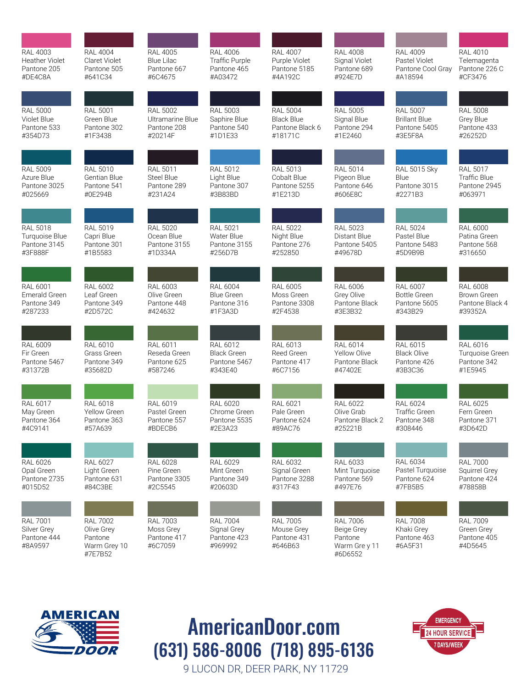| <b>RAL 4003</b>                                          | <b>RAL 4004</b>                                                     | <b>RAL 4005</b>                                        | <b>RAL 4006</b>                                          | <b>RAL 4007</b>                                         | <b>RAL 4008</b>                                                      | <b>RAL 4009</b>                                         | <b>RAL 4010</b>                                         |
|----------------------------------------------------------|---------------------------------------------------------------------|--------------------------------------------------------|----------------------------------------------------------|---------------------------------------------------------|----------------------------------------------------------------------|---------------------------------------------------------|---------------------------------------------------------|
| <b>Heather Violet</b>                                    | Claret Violet                                                       | <b>Blue Lilac</b>                                      | Traffic Purple                                           | Purple Violet                                           | Signal Violet                                                        | Pastel Violet                                           | Telemagenta                                             |
| Pantone 205                                              | Pantone 505                                                         | Pantone 667                                            | Pantone 465                                              | Pantone 5185                                            | Pantone 689                                                          | Pantone Cool Gray                                       | Pantone 226 C                                           |
| #DE4C8A                                                  | #641C34                                                             | #6C4675                                                | #A03472                                                  | #4A192C                                                 | #924E7D                                                              | #A18594                                                 | #CF3476                                                 |
| <b>RAL 5000</b>                                          | <b>RAL 5001</b>                                                     | <b>RAL 5002</b>                                        | <b>RAL 5003</b>                                          | <b>RAL 5004</b>                                         | <b>RAL 5005</b>                                                      | <b>RAL 5007</b>                                         | <b>RAL 5008</b>                                         |
| Violet Blue                                              | Green Blue                                                          | Ultramarine Blue                                       | Saphire Blue                                             | <b>Black Blue</b>                                       | Signal Blue                                                          | <b>Brillant Blue</b>                                    | Grey Blue                                               |
| Pantone 533                                              | Pantone 302                                                         | Pantone 208                                            | Pantone 540                                              | Pantone Black 6                                         | Pantone 294                                                          | Pantone 5405                                            | Pantone 433                                             |
| #354D73                                                  | #1F3438                                                             | #20214F                                                | #1D1E33                                                  | #18171C                                                 | #1E2460                                                              | #3E5F8A                                                 | #26252D                                                 |
| <b>RAL 5009</b>                                          | <b>RAL 5010</b>                                                     | <b>RAL 5011</b>                                        | <b>RAL 5012</b>                                          | <b>RAL 5013</b>                                         | <b>RAL 5014</b>                                                      | <b>RAL 5015 Sky</b>                                     | <b>RAL 5017</b>                                         |
| Azure Blue                                               | Gentian Blue                                                        | <b>Steel Blue</b>                                      | Light Blue                                               | Cobalt Blue                                             | Pigeon Blue                                                          | Blue                                                    | <b>Traffic Blue</b>                                     |
| Pantone 3025                                             | Pantone 541                                                         | Pantone 289                                            | Pantone 307                                              | Pantone 5255                                            | Pantone 646                                                          | Pantone 3015                                            | Pantone 2945                                            |
| #025669                                                  | #0E294B                                                             | #231A24                                                | #3B83BD                                                  | #1E213D                                                 | #606E8C                                                              | #2271B3                                                 | #063971                                                 |
| <b>RAL 5018</b>                                          | <b>RAL 5019</b>                                                     | <b>RAL 5020</b>                                        | <b>RAL 5021</b>                                          | <b>RAL 5022</b>                                         | <b>RAL 5023</b>                                                      | <b>RAL 5024</b>                                         | <b>RAL 6000</b>                                         |
| Turquoise Blue                                           | Capri Blue                                                          | Ocean Blue                                             | Water Blue                                               | Night Blue                                              | Distant Blue                                                         | Pastel Blue                                             | Patina Green                                            |
| Pantone 3145                                             | Pantone 301                                                         | Pantone 3155                                           | Pantone 3155                                             | Pantone 276                                             | Pantone 5405                                                         | Pantone 5483                                            | Pantone 568                                             |
| #3F888F                                                  | #1B5583                                                             | #1D334A                                                | #256D7B                                                  | #252850                                                 | #49678D                                                              | #5D9B9B                                                 | #316650                                                 |
| <b>RAL 6001</b>                                          | RAL 6002                                                            | <b>RAL 6003</b>                                        | <b>RAL 6004</b>                                          | <b>RAL 6005</b>                                         | <b>RAL 6006</b>                                                      | <b>RAL 6007</b>                                         | <b>RAL 6008</b>                                         |
| Emerald Green                                            | Leaf Green                                                          | Olive Green                                            | <b>Blue Green</b>                                        | Moss Green                                              | Grey Olive                                                           | <b>Bottle Green</b>                                     | <b>Brown Green</b>                                      |
| Pantone 349                                              | Pantone 349                                                         | Pantone 448                                            | Pantone 316                                              | Pantone 3308                                            | Pantone Black                                                        | Pantone 5605                                            | Pantone Black 4                                         |
| #287233                                                  | #2D572C                                                             | #424632                                                | #1F3A3D                                                  | #2F4538                                                 | #3E3B32                                                              | #343B29                                                 | #39352A                                                 |
| <b>RAL 6009</b>                                          | <b>RAL 6010</b>                                                     | RAL 6011                                               | RAL 6012                                                 | RAL 6013                                                | RAL 6014                                                             | RAL 6015                                                | <b>RAL 6016</b>                                         |
| Fir Green                                                | Grass Green                                                         | Reseda Green                                           | <b>Black Green</b>                                       | Reed Green                                              | <b>Yellow Olive</b>                                                  | <b>Black Olive</b>                                      | Turquoise Green                                         |
| Pantone 5467                                             | Pantone 349                                                         | Pantone 625                                            | Pantone 5467                                             | Pantone 417                                             | Pantone Black                                                        | Pantone 426                                             | Pantone 342                                             |
| #31372B                                                  | #35682D                                                             | #587246                                                | #343E40                                                  | #6C7156                                                 | #47402E                                                              | #3B3C36                                                 | #1E5945                                                 |
| <b>RAL 6017</b>                                          | RAL 6018                                                            | <b>RAL 6019</b>                                        | <b>RAL 6020</b>                                          | RAL 6021                                                | RAL 6022                                                             | <b>RAL 6024</b>                                         | RAL 6025                                                |
| May Green                                                | <b>Yellow Green</b>                                                 | Pastel Green                                           | Chrome Green                                             | Pale Green                                              | Olive Grab                                                           | <b>Traffic Green</b>                                    | Fern Green                                              |
| Pantone 364                                              | Pantone 363                                                         | Pantone 557                                            | Pantone 5535                                             | Pantone 624                                             | Pantone Black 2                                                      | Pantone 348                                             | Pantone 371                                             |
| #4C9141                                                  | #57A639                                                             | #BDECB6                                                | #2E3A23                                                  | #89AC76                                                 | #25221B                                                              | #308446                                                 | #3D642D                                                 |
| <b>RAL 6026</b>                                          | <b>RAL 6027</b>                                                     | <b>RAL 6028</b>                                        | <b>RAL 6029</b>                                          | RAL 6032                                                | RAL 6033                                                             | <b>RAL 6034</b>                                         | <b>RAL 7000</b>                                         |
| Opal Green                                               | Light Green                                                         | Pine Green                                             | Mint Green                                               | Signal Green                                            | Mint Turquoise                                                       | Pastel Turquoise                                        | Squirrel Grey                                           |
| Pantone 2735                                             | Pantone 631                                                         | Pantone 3305                                           | Pantone 349                                              | Pantone 3288                                            | Pantone 569                                                          | Pantone 624                                             | Pantone 424                                             |
| #015D52                                                  | #84C3BE                                                             | #2C5545                                                | #20603D                                                  | #317F43                                                 | #497E76                                                              | #7FB5B5                                                 | #78858B                                                 |
| <b>RAL 7001</b><br>Silver Grey<br>Pantone 444<br>#8A9597 | <b>RAL 7002</b><br>Olive Grey<br>Pantone<br>Warm Grey 10<br>#7E7B52 | <b>RAL 7003</b><br>Moss Grey<br>Pantone 417<br>#6C7059 | <b>RAL 7004</b><br>Signal Grey<br>Pantone 423<br>#969992 | <b>RAL 7005</b><br>Mouse Grey<br>Pantone 431<br>#646B63 | <b>RAL 7006</b><br>Beige Grey<br>Pantone<br>Warm Gre y 11<br>#6D6552 | <b>RAL 7008</b><br>Khaki Grey<br>Pantone 463<br>#6A5F31 | <b>RAL 7009</b><br>Green Grey<br>Pantone 405<br>#4D5645 |



### 9 LUCON DR, DEER PARK, NY 11729 AmericanDoor.com (631) 586-8006 (718) 895-6136